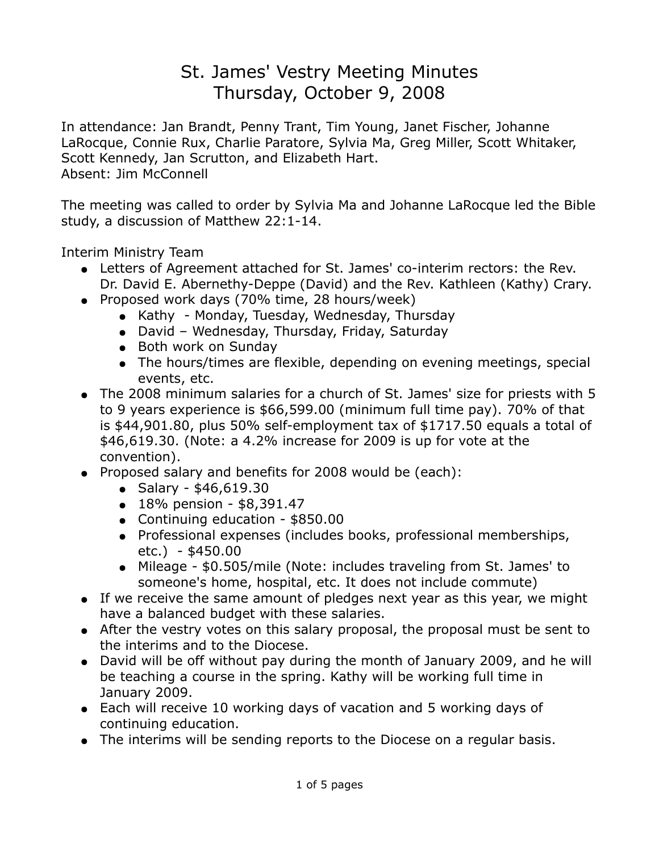## St. James' Vestry Meeting Minutes Thursday, October 9, 2008

In attendance: Jan Brandt, Penny Trant, Tim Young, Janet Fischer, Johanne LaRocque, Connie Rux, Charlie Paratore, Sylvia Ma, Greg Miller, Scott Whitaker, Scott Kennedy, Jan Scrutton, and Elizabeth Hart. Absent: Jim McConnell

The meeting was called to order by Sylvia Ma and Johanne LaRocque led the Bible study, a discussion of Matthew 22:1-14.

Interim Ministry Team

- Letters of Agreement attached for St. James' co-interim rectors: the Rev. Dr. David E. Abernethy-Deppe (David) and the Rev. Kathleen (Kathy) Crary.
- Proposed work days (70% time, 28 hours/week)
	- Kathy Monday, Tuesday, Wednesday, Thursday
	- David Wednesday, Thursday, Friday, Saturday
	- Both work on Sunday
	- The hours/times are flexible, depending on evening meetings, special events, etc.
- The 2008 minimum salaries for a church of St. James' size for priests with 5 to 9 years experience is \$66,599.00 (minimum full time pay). 70% of that is \$44,901.80, plus 50% self-employment tax of \$1717.50 equals a total of \$46,619.30. (Note: a 4.2% increase for 2009 is up for vote at the convention).
- Proposed salary and benefits for 2008 would be (each):
	- Salary  $$46,619.30$
	- $\bullet$  18% pension \$8,391.47
	- Continuing education \$850.00
	- Professional expenses (includes books, professional memberships, etc.) - \$450.00
	- Mileage \$0.505/mile (Note: includes traveling from St. James' to someone's home, hospital, etc. It does not include commute)
- If we receive the same amount of pledges next year as this year, we might have a balanced budget with these salaries.
- After the vestry votes on this salary proposal, the proposal must be sent to the interims and to the Diocese.
- David will be off without pay during the month of January 2009, and he will be teaching a course in the spring. Kathy will be working full time in January 2009.
- Each will receive 10 working days of vacation and 5 working days of continuing education.
- The interims will be sending reports to the Diocese on a regular basis.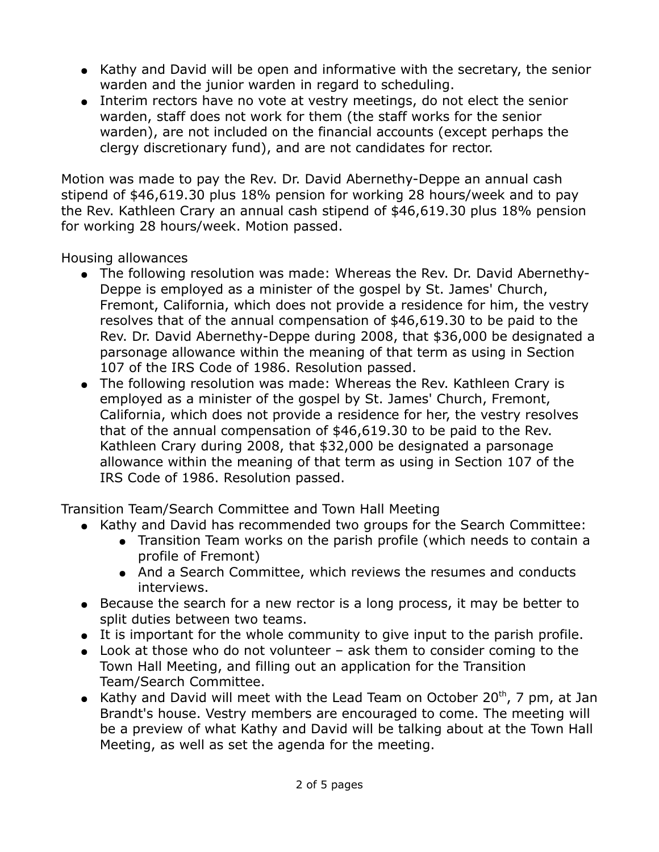- Kathy and David will be open and informative with the secretary, the senior warden and the junior warden in regard to scheduling.
- Interim rectors have no vote at vestry meetings, do not elect the senior warden, staff does not work for them (the staff works for the senior warden), are not included on the financial accounts (except perhaps the clergy discretionary fund), and are not candidates for rector.

Motion was made to pay the Rev. Dr. David Abernethy-Deppe an annual cash stipend of \$46,619.30 plus 18% pension for working 28 hours/week and to pay the Rev. Kathleen Crary an annual cash stipend of \$46,619.30 plus 18% pension for working 28 hours/week. Motion passed.

Housing allowances

- The following resolution was made: Whereas the Rev. Dr. David Abernethy-Deppe is employed as a minister of the gospel by St. James' Church, Fremont, California, which does not provide a residence for him, the vestry resolves that of the annual compensation of \$46,619.30 to be paid to the Rev. Dr. David Abernethy-Deppe during 2008, that \$36,000 be designated a parsonage allowance within the meaning of that term as using in Section 107 of the IRS Code of 1986. Resolution passed.
- The following resolution was made: Whereas the Rev. Kathleen Crary is employed as a minister of the gospel by St. James' Church, Fremont, California, which does not provide a residence for her, the vestry resolves that of the annual compensation of \$46,619.30 to be paid to the Rev. Kathleen Crary during 2008, that \$32,000 be designated a parsonage allowance within the meaning of that term as using in Section 107 of the IRS Code of 1986. Resolution passed.

Transition Team/Search Committee and Town Hall Meeting

- Kathy and David has recommended two groups for the Search Committee:
	- Transition Team works on the parish profile (which needs to contain a profile of Fremont)
	- And a Search Committee, which reviews the resumes and conducts interviews.
- Because the search for a new rector is a long process, it may be better to split duties between two teams.
- It is important for the whole community to give input to the parish profile.
- $\bullet$  Look at those who do not volunteer ask them to consider coming to the Town Hall Meeting, and filling out an application for the Transition Team/Search Committee.
- Kathy and David will meet with the Lead Team on October 20<sup>th</sup>, 7 pm, at Jan Brandt's house. Vestry members are encouraged to come. The meeting will be a preview of what Kathy and David will be talking about at the Town Hall Meeting, as well as set the agenda for the meeting.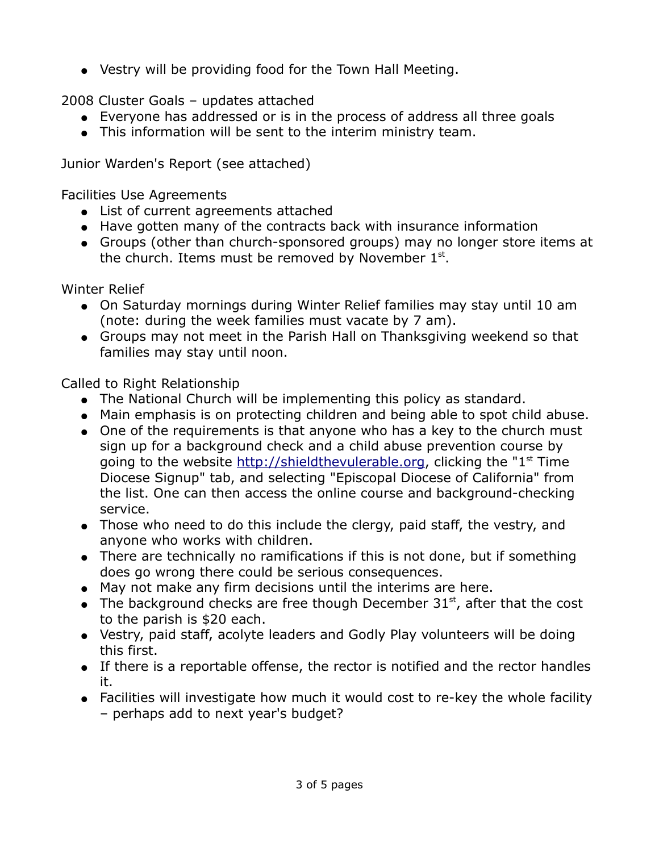● Vestry will be providing food for the Town Hall Meeting.

2008 Cluster Goals – updates attached

- Everyone has addressed or is in the process of address all three goals
- This information will be sent to the interim ministry team.

Junior Warden's Report (see attached)

Facilities Use Agreements

- List of current agreements attached
- Have gotten many of the contracts back with insurance information
- Groups (other than church-sponsored groups) may no longer store items at the church. Items must be removed by November  $1<sup>st</sup>$ .

Winter Relief

- On Saturday mornings during Winter Relief families may stay until 10 am (note: during the week families must vacate by 7 am).
- Groups may not meet in the Parish Hall on Thanksgiving weekend so that families may stay until noon.

Called to Right Relationship

- The National Church will be implementing this policy as standard.
- Main emphasis is on protecting children and being able to spot child abuse.
- One of the requirements is that anyone who has a key to the church must sign up for a background check and a child abuse prevention course by going to the website [http://shieldthevulerable.org,](http://shieldthevulerable.org/) clicking the " $1<sup>st</sup>$  Time Diocese Signup" tab, and selecting "Episcopal Diocese of California" from the list. One can then access the online course and background-checking service.
- Those who need to do this include the clergy, paid staff, the vestry, and anyone who works with children.
- There are technically no ramifications if this is not done, but if something does go wrong there could be serious consequences.
- May not make any firm decisions until the interims are here.
- The background checks are free though December  $31<sup>st</sup>$ , after that the cost to the parish is \$20 each.
- Vestry, paid staff, acolyte leaders and Godly Play volunteers will be doing this first.
- If there is a reportable offense, the rector is notified and the rector handles it.
- Facilities will investigate how much it would cost to re-key the whole facility – perhaps add to next year's budget?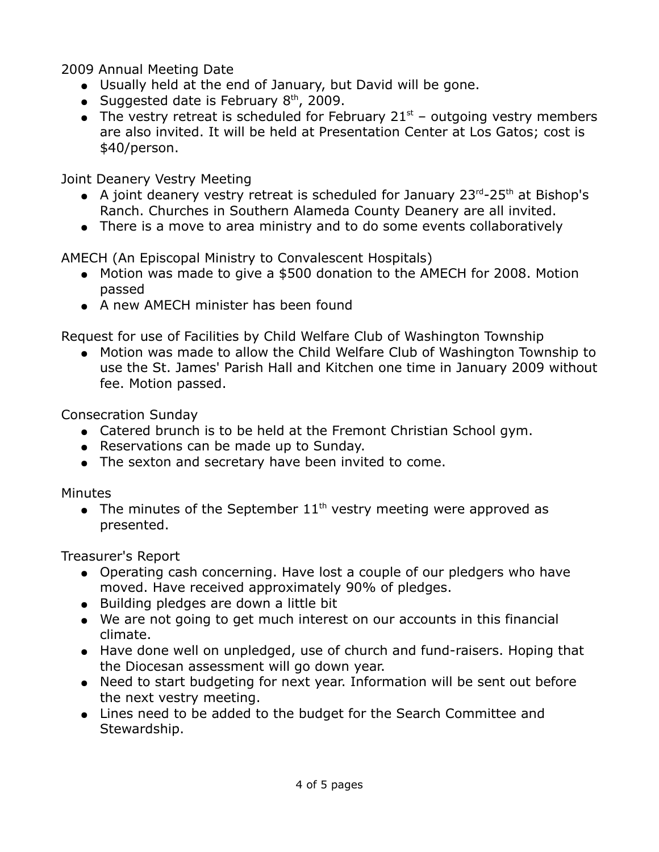2009 Annual Meeting Date

- Usually held at the end of January, but David will be gone.
- Suggested date is February  $8<sup>th</sup>$ , 2009.
- The vestry retreat is scheduled for February  $21<sup>st</sup>$  outgoing vestry members are also invited. It will be held at Presentation Center at Los Gatos; cost is \$40/person.

Joint Deanery Vestry Meeting

- A joint deanery vestry retreat is scheduled for January  $23^{rd}$ - $25^{th}$  at Bishop's Ranch. Churches in Southern Alameda County Deanery are all invited.
- There is a move to area ministry and to do some events collaboratively

AMECH (An Episcopal Ministry to Convalescent Hospitals)

- Motion was made to give a \$500 donation to the AMECH for 2008. Motion passed
- A new AMECH minister has been found

Request for use of Facilities by Child Welfare Club of Washington Township

● Motion was made to allow the Child Welfare Club of Washington Township to use the St. James' Parish Hall and Kitchen one time in January 2009 without fee. Motion passed.

Consecration Sunday

- Catered brunch is to be held at the Fremont Christian School gym.
- Reservations can be made up to Sunday.
- The sexton and secretary have been invited to come.

Minutes

• The minutes of the September  $11<sup>th</sup>$  vestry meeting were approved as presented.

Treasurer's Report

- Operating cash concerning. Have lost a couple of our pledgers who have moved. Have received approximately 90% of pledges.
- Building pledges are down a little bit
- We are not going to get much interest on our accounts in this financial climate.
- Have done well on unpledged, use of church and fund-raisers. Hoping that the Diocesan assessment will go down year.
- Need to start budgeting for next year. Information will be sent out before the next vestry meeting.
- Lines need to be added to the budget for the Search Committee and Stewardship.